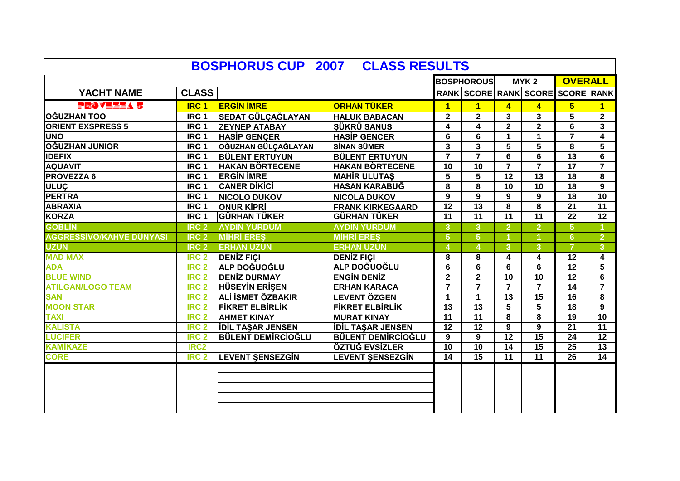|                                 |                  |                            |                           |                 | <b>BOSPHOROUS</b>                |                         | MYK <sub>2</sub>        | <b>OVERALL</b>          |                         |
|---------------------------------|------------------|----------------------------|---------------------------|-----------------|----------------------------------|-------------------------|-------------------------|-------------------------|-------------------------|
| YACHT NAME                      | <b>CLASS</b>     |                            |                           |                 | RANK SCORE RANK SCORE SCORE RANK |                         |                         |                         |                         |
| PROVEELA 5                      | <b>IRC1</b>      | <b>ERGIN IMRE</b>          | <b>ORHAN TÜKER</b>        | $\mathbf{1}$    | $\mathbf{1}$                     | $\overline{\mathbf{4}}$ | $\overline{\mathbf{4}}$ | 5 <sub>5</sub>          | $\blacksquare$          |
| OĞUZHAN TOO                     | IRC <sub>1</sub> | SEDAT GÜLÇAĞLAYAN          | <b>HALUK BABACAN</b>      | $\mathbf{2}$    | $\mathbf{2}$                     | 3                       | 3                       | 5                       | $\overline{2}$          |
| <b>ORIENT EXSPRESS 5</b>        | IRC <sub>1</sub> | <b>ZEYNEP ATABAY</b>       | <b>SÜKRÜ SANUS</b>        | 4               | 4                                | $\mathbf{2}$            | $\mathbf{2}$            | 6                       | $\mathbf{3}$            |
| <b>UNO</b>                      | IRC <sub>1</sub> | <b>HASIP GENCER</b>        | <b>HASIP GENCER</b>       | 6               | 6                                | 1                       | $\blacktriangleleft$    | $\overline{\mathbf{z}}$ | $\overline{\mathbf{4}}$ |
| OĞUZHAN JUNIOR                  | IRC <sub>1</sub> | <b>OĞUZHAN GÜLÇAĞLAYAN</b> | <b>SINAN SÜMER</b>        | 3               | 3                                | 5                       | 5                       | 8                       | 5                       |
| <b>IDEFIX</b>                   | IRC <sub>1</sub> | <b>BÜLENT ERTUYUN</b>      | <b>BÜLENT ERTUYUN</b>     | $\overline{7}$  | $\overline{7}$                   | 6                       | 6                       | $\overline{13}$         | 6                       |
| <b>AQUAVIT</b>                  | IRC <sub>1</sub> | <b>HAKAN BÖRTECENE</b>     | <b>HAKAN BÖRTECENE</b>    | 10              | 10                               | $\overline{7}$          | $\overline{7}$          | 17                      | $\overline{7}$          |
| <b>PROVEZZA 6</b>               | IRC <sub>1</sub> | <b>ERGIN IMRE</b>          | <b>MAHIR ULUTAS</b>       | 5               | 5                                | 12                      | 13                      | 18                      | 8                       |
| <b>ULUÇ</b>                     | IRC <sub>1</sub> | <b>CANER DIKICI</b>        | <b>HASAN KARABUĞ</b>      | 8               | 8                                | $\overline{10}$         | $\overline{10}$         | 18                      | 9                       |
| <b>PERTRA</b>                   | IRC <sub>1</sub> | <b>NICOLO DUKOV</b>        | <b>NICOLA DUKOV</b>       | 9               | 9                                | 9                       | 9                       | 18                      | 10                      |
| <b>ABRAXIA</b>                  | IRC <sub>1</sub> | <b>ONUR KIPRI</b>          | <b>FRANK KIRKEGAARD</b>   | $\overline{12}$ | $\overline{13}$                  | 8                       | 8                       | $\overline{21}$         | $\overline{11}$         |
| <b>KORZA</b>                    | IRC <sub>1</sub> | <b>GÜRHAN TÜKER</b>        | <b>GÜRHAN TÜKER</b>       | $\overline{11}$ | $\overline{11}$                  | $\overline{11}$         | $\overline{11}$         | $\overline{22}$         | $\overline{12}$         |
| <b>GOBLIN</b>                   | IRC <sub>2</sub> | <b>AYDIN YURDUM</b>        | <b>AYDIN YURDUM</b>       | $\mathbf{3}$    | 3                                | $\overline{2}$          | $\overline{2}$          | 5 <sup>5</sup>          |                         |
| <b>AGGRESSİVO/KAHVE DÜNYASI</b> | IRC <sub>2</sub> | <b>MIHRI ERES</b>          | <b>MIHRI ERES</b>         | $5\phantom{1}$  | 5 <sup>1</sup>                   | $\blacktriangleleft$    |                         | 6                       | $\overline{2}$          |
| <b>UZUN</b>                     | IRC <sub>2</sub> | <b>ERHAN UZUN</b>          | <b>ERHAN UZUN</b>         | $\overline{4}$  |                                  | 3                       | 3                       |                         | 3 <sup>°</sup>          |
| <b>MAD MAX</b>                  | IRC <sub>2</sub> | <b>DENIZ FICI</b>          | <b>DENIZ FICI</b>         | 8               | 8                                | 4                       | 4                       | 12                      | $\overline{\mathbf{4}}$ |
| <b>ADA</b>                      | IRC <sub>2</sub> | ALP DOĞUOĞLU               | <b>ALP DOĞUOĞLU</b>       | 6               | 6                                | 6                       | 6                       | 12                      | 5                       |
| <b>BLUE WIND</b>                | <b>IRC 2</b>     | <b>DENIZ DURMAY</b>        | <b>ENGIN DENIZ</b>        | $\mathbf{2}$    | $\mathbf{2}$                     | 10                      | 10                      | $\overline{12}$         | 6                       |
| <b>ATILGAN/LOGO TEAM</b>        | <b>IRC 2</b>     | <b>HÜSEYİN ERİŞEN</b>      | <b>ERHAN KARACA</b>       | $\overline{7}$  | $\overline{7}$                   | $\overline{7}$          | $\overline{7}$          | $\overline{14}$         | $\overline{7}$          |
| <b>SAN</b>                      | <b>IRC 2</b>     | <b>ALİ İSMET ÖZBAKIR</b>   | <b>LEVENT ÖZGEN</b>       | $\mathbf 1$     | 1                                | $\overline{13}$         | 15                      | $\overline{16}$         | $\overline{\mathbf{8}}$ |
| <b>MOON STAR</b>                | <b>IRC 2</b>     | <b>FIKRET ELBIRLIK</b>     | <b>FIKRET ELBIRLIK</b>    | $\overline{13}$ | $\overline{13}$                  | $\overline{\mathbf{5}}$ | 5                       | $\overline{18}$         | $\overline{9}$          |
| <b>TAXI</b>                     | <b>IRC 2</b>     | <b>AHMET KINAY</b>         | <b>MURAT KINAY</b>        | $\overline{11}$ | $\overline{11}$                  | 8                       | 8                       | $\overline{19}$         | $\overline{10}$         |
| <b>KALISTA</b>                  | <b>IRC 2</b>     | <b>IDIL TASAR JENSEN</b>   | <b>IDIL TAŞAR JENSEN</b>  | $\overline{12}$ | $\overline{12}$                  | 9                       | 9                       | $\overline{21}$         | $\overline{11}$         |
| <b>LUCIFER</b>                  | IRC <sub>2</sub> | <b>BÜLENT DEMIRCIOĞLU</b>  | <b>BÜLENT DEMİRCİOĞLU</b> | 9               | 9                                | $\overline{12}$         | 15                      | 24                      | 12                      |
| <b>KAMİKAZE</b>                 | IRC <sub>2</sub> |                            | ÖZTUĞ EVSİZLER            | 10              | 10                               | 14                      | 15                      | 25                      | 13                      |
| <b>CORE</b>                     | IRC <sub>2</sub> | <b>LEVENT SENSEZGIN</b>    | <b>LEVENT SENSEZGIN</b>   | $\overline{14}$ | 15                               | $\overline{11}$         | $\overline{11}$         | $\overline{26}$         | $\overline{14}$         |
|                                 |                  |                            |                           |                 |                                  |                         |                         |                         |                         |
|                                 |                  |                            |                           |                 |                                  |                         |                         |                         |                         |
|                                 |                  |                            |                           |                 |                                  |                         |                         |                         |                         |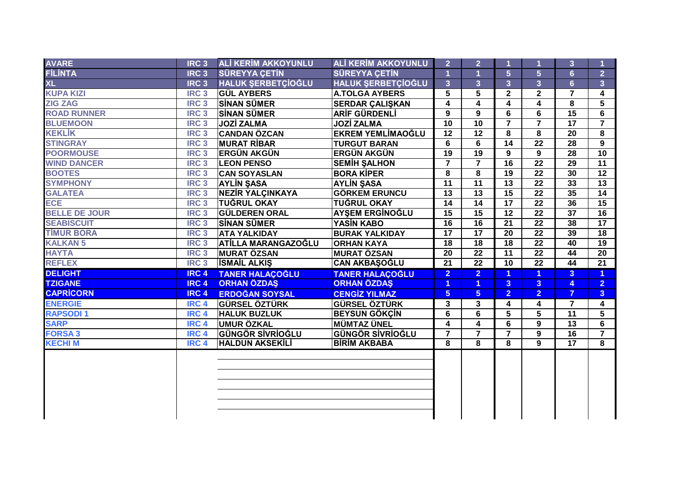|                          | <b>IRC3</b>      | <b>ALİ KERİM AKKOYUNLU</b> | <b>ALİ KERİM AKKOYUNLU</b> | 2 <sup>1</sup>  | $\overline{2}$  |                         |                         | 3               |                         |
|--------------------------|------------------|----------------------------|----------------------------|-----------------|-----------------|-------------------------|-------------------------|-----------------|-------------------------|
| <b>AVARE<br/>FİLİNTA</b> | RC <sub>3</sub>  | <b>SÜREYYA ÇETİN</b>       | <b>SÜREYYA ÇETİN</b>       |                 |                 | 5                       | $\overline{5}$          | $6\overline{6}$ | $\overline{2}$          |
| <b>XL</b>                | RC <sub>3</sub>  | HALUK ŞERBETÇİOĞLU         | <b>HALUK ŞERBETÇİOĞLU</b>  | 3 <sup>2</sup>  | 3 <sup>5</sup>  | 3 <sup>1</sup>          | 3 <sup>1</sup>          | 6 <sup>1</sup>  | $\overline{3}$          |
| <b>KUPA KIZI</b>         | IRC <sub>3</sub> | <b>GÜL AYBERS</b>          | <b>A.TOLGA AYBERS</b>      | 5               | 5               | $\mathbf{2}$            | $\mathbf{2}$            | $\overline{7}$  | $\overline{\mathbf{4}}$ |
| <b>ZIG ZAG</b>           | IRC <sub>3</sub> | <b>SİNAN SÜMER</b>         | <b>SERDAR ÇALIŞKAN</b>     | 4               | 4               | 4                       | 4                       | 8               | $\overline{5}$          |
| <b>ROAD RUNNER</b>       | IRC <sub>3</sub> | <b>SİNAN SÜMER</b>         | ARİF GÜRDENLİ              | 9               | 9               | 6                       | 6                       | $\overline{15}$ | 6                       |
| <b>BLUEMOON</b>          | IRC <sub>3</sub> | <b>JOZİ ZALMA</b>          | <b>JOZİ ZALMA</b>          | 10              | 10              | $\overline{7}$          | $\overline{7}$          | 17              | $\overline{7}$          |
| <b>KEKLİK</b>            | IRC <sub>3</sub> | <b>CANDAN ÖZCAN</b>        | <b>EKREM YEMLİMAOĞLU</b>   | $\overline{12}$ | $\overline{12}$ | 8                       | 8                       | 20              | 8                       |
| <b>STINGRAY</b>          | IRC <sub>3</sub> | <b>MURAT RIBAR</b>         | <b>TURGUT BARAN</b>        | 6               | 6               | 14                      | 22                      | 28              | 9                       |
| <b>POORMOUSE</b>         | IRC <sub>3</sub> | <b>ERGÜN AKGÜN</b>         | <b>ERGÜN AKGÜN</b>         | $\overline{19}$ | $\overline{19}$ | 9                       | $\overline{9}$          | $\overline{28}$ | 10                      |
| <b>WIND DANCER</b>       | IRC <sub>3</sub> | <b>LEON PENSO</b>          | <b>SEMIH SALHON</b>        | $\overline{7}$  | $\overline{7}$  | $\overline{16}$         | 22                      | 29              | 11                      |
| <b>BOOTES</b>            | IRC <sub>3</sub> | <b>CAN SOYASLAN</b>        | <b>BORA KIPER</b>          | 8               | 8               | $\overline{19}$         | $\overline{22}$         | 30              | 12                      |
| <b>SYMPHONY</b>          | IRC <sub>3</sub> | <b>AYLIN SASA</b>          | <b>AYLIN ŞASA</b>          | $\overline{11}$ | $\overline{11}$ | $\overline{13}$         | 22                      | 33              | 13                      |
| <b>GALATEA</b>           | IRC <sub>3</sub> | <b>NEZIR YALÇINKAYA</b>    | <b>GÖRKEM ERUNCU</b>       | $\overline{13}$ | $\overline{13}$ | $\overline{15}$         | 22                      | 35              | 14                      |
| ECE                      | <b>IRC3</b>      | <b>TUĞRUL OKAY</b>         | <b>TUĞRUL OKAY</b>         | $\overline{14}$ | $\overline{14}$ | $\overline{17}$         | $\overline{22}$         | 36              | $\overline{15}$         |
| <b>BELLE DE JOUR</b>     | <b>IRC3</b>      | <b>GÜLDEREN ORAL</b>       | <b>AYŞEM ERGİNOĞLU</b>     | $\overline{15}$ | 15              | $\overline{12}$         | $\overline{22}$         | $\overline{37}$ | 16                      |
| <b>SEABISCUIT</b>        | <b>IRC3</b>      | <b>SİNAN SÜMER</b>         | <b>YASIN KABO</b>          | $\overline{16}$ | 16              | $\overline{21}$         | $\overline{22}$         | 38              | $\overline{17}$         |
| <b>TIMUR BORA</b>        | IRC <sub>3</sub> | <b>ATA YALKIDAY</b>        | <b>BURAK YALKIDAY</b>      | $\overline{17}$ | 17              | $\overline{20}$         | $\overline{22}$         | 39              | 18                      |
| <b>KALKAN 5</b>          | <b>IRC3</b>      | <b>ATİLLA MARANGAZOĞLU</b> | <b>ORHAN KAYA</b>          | $\overline{18}$ | $\overline{18}$ | $\overline{18}$         | $\overline{22}$         | $\overline{40}$ | $\overline{19}$         |
| <b>HAYTA</b>             | <b>IRC3</b>      | <b>MURAT ÖZSAN</b>         | <b>MURAT ÖZSAN</b>         | $\overline{20}$ | $\overline{22}$ | $\overline{11}$         | $\overline{22}$         | 44              | $\overline{20}$         |
| <b>REFLEX</b>            | <b>IRC3</b>      | <b>İSMAİL ALKIŞ</b>        | <b>CAN AKBAŞOĞLU</b>       | $\overline{21}$ | $\overline{22}$ | $\overline{10}$         | $\overline{22}$         | 44              | $\overline{21}$         |
| <b>DELIGHT</b>           | <b>IRC 4</b>     | <b>TANER HALAÇOĞLU</b>     | <b>TANER HALACOĞLU</b>     | 2 <sup>1</sup>  | 2 <sup>1</sup>  | 1                       | $\blacktriangleleft$    | $\overline{3}$  | $\blacktriangleleft$    |
| <b>TZIGANE</b>           | <b>IRC4</b>      | <b>ORHAN ÖZDAŞ</b>         | <b>ORHAN ÖZDAŞ</b>         | $\blacksquare$  | $\mathbf{1}$    | 3 <sup>1</sup>          | 3 <sup>1</sup>          | 4               | 2 <sup>1</sup>          |
| <b>CAPRICORN</b>         | IRC <sub>4</sub> | <b>ERDOĞAN SOYSAL</b>      | <b>CENGİZ YILMAZ</b>       | 5 <sup>5</sup>  | 5 <sup>5</sup>  | $\overline{2}$          | 2 <sup>1</sup>          | $\overline{7}$  | 3 <sup>1</sup>          |
| <b>ENERGIE</b>           | IRC <sub>4</sub> | <b>GÜRSEL ÖZTÜRK</b>       | <b>GÜRSEL ÖZTÜRK</b>       | 3               | 3 <sup>1</sup>  | $\overline{\mathbf{4}}$ | $\overline{\mathbf{4}}$ | $\overline{7}$  | $\overline{\mathbf{4}}$ |
| <b>RAPSODI1</b>          | IRC <sub>4</sub> | <b>HALUK BUZLUK</b>        | <b>BEYSUN GÖKÇİN</b>       | 6               | 6               | 5                       | 5                       | $\overline{11}$ | 5                       |
| <b>SARP</b>              | IRC <sub>4</sub> | <b>UMUR ÖZKAL</b>          | <b>MÜMTAZ ÜNEL</b>         | 4               | 4               | 6                       | 9                       | 13              | 6                       |
| <b>FORSA3</b>            | IRC <sub>4</sub> | <b>GÜNGÖR SİVRİOĞLU</b>    | <b>GÜNGÖR SİVRİOĞLU</b>    | $\overline{7}$  | $\overline{7}$  | $\overline{7}$          | 9                       | 16              | $\overline{7}$          |
| <b>KECHI M</b>           | <b>IRC4</b>      | <b>HALDUN AKSEKİLİ</b>     | <b>BIRIM AKBABA</b>        | 8               | $\overline{8}$  | 8                       | $\mathbf{q}$            | $\overline{17}$ | $\overline{8}$          |
|                          |                  |                            |                            |                 |                 |                         |                         |                 |                         |
|                          |                  |                            |                            |                 |                 |                         |                         |                 |                         |
|                          |                  |                            |                            |                 |                 |                         |                         |                 |                         |
|                          |                  |                            |                            |                 |                 |                         |                         |                 |                         |
|                          |                  |                            |                            |                 |                 |                         |                         |                 |                         |
|                          |                  |                            |                            |                 |                 |                         |                         |                 |                         |
|                          |                  |                            |                            |                 |                 |                         |                         |                 |                         |